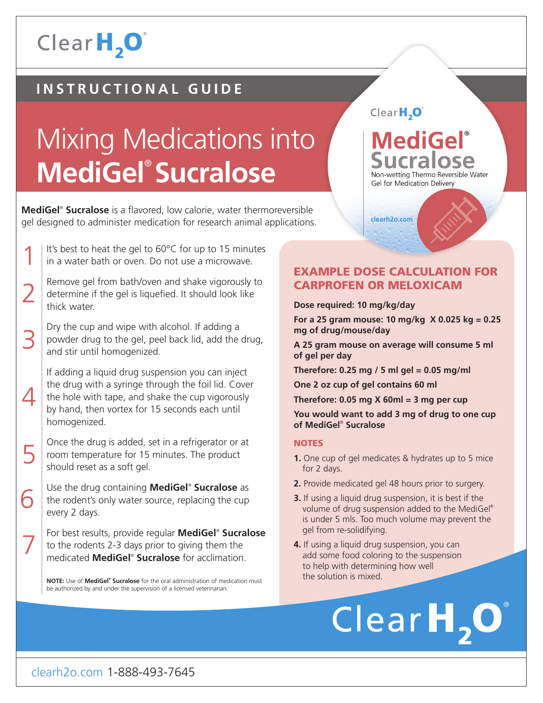### Clear H<sub>2</sub>O

#### **INSTRUCTIONAL GUIDE**

## Mixing Medications into **MediGel**® **Sucralose**

**MediGel**® **Sucralose** is a flavored, low calorie, water thermoreversible gel designed to administer medication for research animal applications.

- 1 It's best to heat the gel to 60°C for up to 15 minutes in a water bath or oven. Do not use a microwave.
- 2 Remove gel from bath/oven and shake vigorously to determine if the gel is liquefied. It should look like thick water.
- 3 Dry the cup and wipe with alcohol. If adding a powder drug to the gel, peel back lid, add the drug, and stir until homogenized.
	- If adding a liquid drug suspension you can inject the drug with a syringe through the foil lid. Cover the hole with tape, and shake the cup vigorously by hand, then vortex for 15 seconds each until homogenized.

 $\Delta$ 

6

7

- 5 Once the drug is added, set in a refrigerator or at room temperature for 15 minutes. The product should reset as a soft gel.
	- Use the drug containing **MediGel**® **Sucralose** as the rodent's only water source, replacing the cup every 2 days.
	- For best results, provide regular **MediGel**® **Sucralose** to the rodents 2-3 days prior to giving them the medicated **MediGel**® **Sucralose** for acclimation.

**NOTE:** Use of **MediGel® Sucralose** for the oral administration of medication must be authorized by and under the supervision of a licensed veterinarian.

#### Clear $H_2O^2$

#### **MediGel**® **Sucralose** Non-wetting Thermo Reversible Water **Gel for Medication Delivery**

clearh2o.com

#### EXAMPLE DOSE CALCULATION FOR CARPROFEN OR MELOXICAM

#### **Dose required: 10 mg/kg/day**

**For a 25 gram mouse: 10 mg/kg X 0.025 kg = 0.25 mg of drug/mouse/day**

**A 25 gram mouse on average will consume 5 ml of gel per day**

**Therefore: 0.25 mg / 5 ml gel = 0.05 mg/ml**

**One 2 oz cup of gel contains 60 ml**

**Therefore: 0.05 mg X 60ml = 3 mg per cup**

**You would want to add 3 mg of drug to one cup of MediGel**®  **Sucralose**

#### **NOTES**

- **1.** One cup of gel medicates & hydrates up to 5 mice for 2 days.
- **2.** Provide medicated gel 48 hours prior to surgery.
- **3.** If using a liquid drug suspension, it is best if the volume of drug suspension added to the MediGel® is under 5 mls. Too much volume may prevent the gel from re-solidifying.
- **4.** If using a liquid drug suspension, you can add some food coloring to the suspension to help with determining how well the solution is mixed.

## ClearH, O